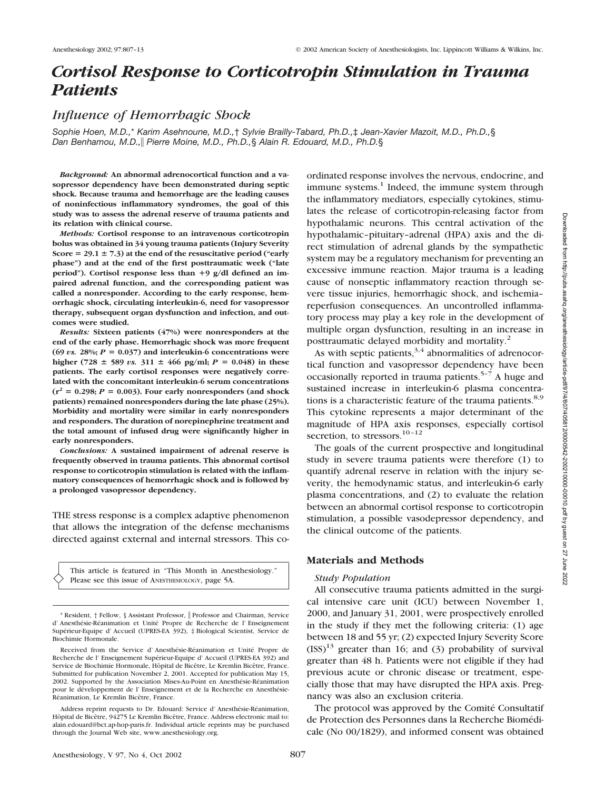# *Cortisol Response to Corticotropin Stimulation in Trauma Patients*

# *Influence of Hemorrhagic Shock*

*Sophie Hoen, M.D.,*\* *Karim Asehnoune, M.D.,*† *Sylvie Brailly-Tabard, Ph.D.,*‡ *Jean-Xavier Mazoit, M.D., Ph.D.,*§ *Dan Benhamou, M.D., Pierre Moine, M.D., Ph.D.,*§ *Alain R. Edouard, M.D., Ph.D.*§

*Background:* **An abnormal adrenocortical function and a vasopressor dependency have been demonstrated during septic shock. Because trauma and hemorrhage are the leading causes of noninfectious inflammatory syndromes, the goal of this study was to assess the adrenal reserve of trauma patients and its relation with clinical course.**

*Methods:* **Cortisol response to an intravenous corticotropin bolus was obtained in 34 young trauma patients (Injury Severity Score 29.1** - **7.3) at the end of the resuscitative period ("early phase") and at the end of the first posttraumatic week ("late** period"). Cortisol response less than  $+9$  g/dl defined an im**paired adrenal function, and the corresponding patient was called a nonresponder. According to the early response, hemorrhagic shock, circulating interleukin-6, need for vasopressor therapy, subsequent organ dysfunction and infection, and outcomes were studied.**

*Results:* **Sixteen patients (47%) were nonresponders at the end of the early phase. Hemorrhagic shock was more frequent** (69 *vs.*  $28\%$ ;  $P = 0.037$ ) and interleukin-6 concentrations were higher (728  $\pm$  589 *vs.* 311  $\pm$  466 pg/ml; *P* = 0.048) in these **patients. The early cortisol responses were negatively correlated with the concomitant interleukin-6 serum concentrations**  $(r^2 = 0.298; P = 0.003)$ . Four early nonresponders (and shock **patients) remained nonresponders during the late phase (25%). Morbidity and mortality were similar in early nonresponders and responders. The duration of norepinephrine treatment and the total amount of infused drug were significantly higher in early nonresponders.**

*Conclusions:* **A sustained impairment of adrenal reserve is frequently observed in trauma patients. This abnormal cortisol response to corticotropin stimulation is related with the inflammatory consequences of hemorrhagic shock and is followed by a prolonged vasopressor dependency.**

THE stress response is a complex adaptive phenomenon that allows the integration of the defense mechanisms directed against external and internal stressors. This co-

This article is featured in "This Month in Anesthesiology." Please see this issue of ANESTHESIOLOGY, page 5A.

ordinated response involves the nervous, endocrine, and immune systems. $<sup>1</sup>$  Indeed, the immune system through</sup> the inflammatory mediators, especially cytokines, stimulates the release of corticotropin-releasing factor from hypothalamic neurons. This central activation of the hypothalamic–pituitary–adrenal (HPA) axis and the direct stimulation of adrenal glands by the sympathetic system may be a regulatory mechanism for preventing an excessive immune reaction. Major trauma is a leading cause of nonseptic inflammatory reaction through severe tissue injuries, hemorrhagic shock, and ischemia– reperfusion consequences. An uncontrolled inflammatory process may play a key role in the development of multiple organ dysfunction, resulting in an increase in posttraumatic delayed morbidity and mortality.2

As with septic patients,  $3,4$  abnormalities of adrenocortical function and vasopressor dependency have been occasionally reported in trauma patients.<sup>5-7</sup> A huge and sustained increase in interleukin-6 plasma concentrations is a characteristic feature of the trauma patients. $8,9$ This cytokine represents a major determinant of the magnitude of HPA axis responses, especially cortisol secretion, to stressors.<sup>10-12</sup>

The goals of the current prospective and longitudinal study in severe trauma patients were therefore (1) to quantify adrenal reserve in relation with the injury severity, the hemodynamic status, and interleukin-6 early plasma concentrations, and (2) to evaluate the relation between an abnormal cortisol response to corticotropin stimulation, a possible vasodepressor dependency, and the clinical outcome of the patients.

# **Materials and Methods**

### *Study Population*

All consecutive trauma patients admitted in the surgical intensive care unit (ICU) between November 1, 2000, and January 31, 2001, were prospectively enrolled in the study if they met the following criteria: (1) age between 18 and 55 yr; (2) expected Injury Severity Score  $(ISS)^{13}$  greater than 16; and (3) probability of survival greater than 48 h. Patients were not eligible if they had previous acute or chronic disease or treatment, especially those that may have disrupted the HPA axis. Pregnancy was also an exclusion criteria.

The protocol was approved by the Comité Consultatif de Protection des Personnes dans la Recherche Biomédicale (No 00/1829), and informed consent was obtained

<sup>\*</sup> Resident, † Fellow, § Assistant Professor, Professor and Chairman, Service d' Anesthésie-Réanimation et Unité Propre de Recherche de l' Enseignement Supérieur-Equipe d' Accueil (UPRES-EA 392), ‡ Biological Scientist, Service de Biochimie Hormonale.

Received from the Service d' Anesthésie-Réanimation et Unité Propre de Recherche de l' Enseignement Supérieur-Equipe d' Accueil (UPRES-EA 392) and Service de Biochimie Hormonale, Hôpital de Bicêtre, Le Kremlin Bicêtre, France. Submitted for publication November 2, 2001. Accepted for publication May 15, 2002. Supported by the Association Mises-Au-Point en Anesthésie-Réanimation pour le développement de l' Enseignement et de la Recherche en Anesthésie-Réanimation, Le Kremlin Bicêtre, France.

Address reprint requests to Dr. Edouard: Service d' Anesthésie-Réanimation, Hôpital de Bicêtre, 94275 Le Kremlin Bicêtre, France. Address electronic mail to: alain.edouard@bct.ap-hop-paris.fr. Individual article reprints may be purchased through the Journal Web site, www.anesthesiology.org.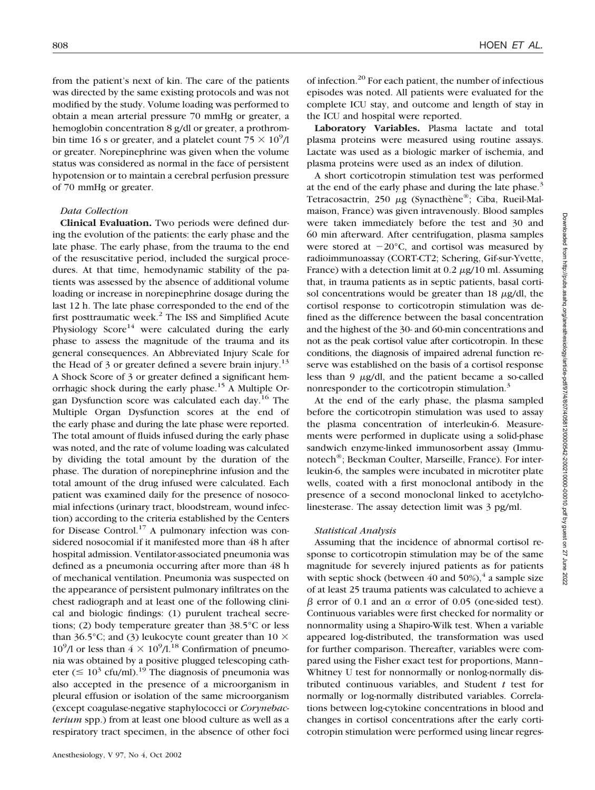from the patient's next of kin. The care of the patients was directed by the same existing protocols and was not modified by the study. Volume loading was performed to obtain a mean arterial pressure 70 mmHg or greater, a hemoglobin concentration 8 g/dl or greater, a prothrombin time 16 s or greater, and a platelet count  $\frac{75}{5} \times \frac{10^9}{10^9}$ or greater. Norepinephrine was given when the volume status was considered as normal in the face of persistent hypotension or to maintain a cerebral perfusion pressure of 70 mmHg or greater.

### *Data Collection*

**Clinical Evaluation.** Two periods were defined during the evolution of the patients: the early phase and the late phase. The early phase, from the trauma to the end of the resuscitative period, included the surgical procedures. At that time, hemodynamic stability of the patients was assessed by the absence of additional volume loading or increase in norepinephrine dosage during the last 12 h. The late phase corresponded to the end of the first posttraumatic week.<sup>2</sup> The ISS and Simplified Acute Physiology  $Score^{14}$  were calculated during the early phase to assess the magnitude of the trauma and its general consequences. An Abbreviated Injury Scale for the Head of 3 or greater defined a severe brain injury.<sup>13</sup> A Shock Score of 3 or greater defined a significant hemorrhagic shock during the early phase.15 A Multiple Organ Dysfunction score was calculated each day.16 The Multiple Organ Dysfunction scores at the end of the early phase and during the late phase were reported. The total amount of fluids infused during the early phase was noted, and the rate of volume loading was calculated by dividing the total amount by the duration of the phase. The duration of norepinephrine infusion and the total amount of the drug infused were calculated. Each patient was examined daily for the presence of nosocomial infections (urinary tract, bloodstream, wound infection) according to the criteria established by the Centers for Disease Control.<sup>17</sup> A pulmonary infection was considered nosocomial if it manifested more than 48 h after hospital admission. Ventilator-associated pneumonia was defined as a pneumonia occurring after more than 48 h of mechanical ventilation. Pneumonia was suspected on the appearance of persistent pulmonary infiltrates on the chest radiograph and at least one of the following clinical and biologic findings: (1) purulent tracheal secretions; (2) body temperature greater than 38.5°C or less than 36.5°C; and (3) leukocyte count greater than 10  $\times$  $10^9$ /l or less than  $4 \times 10^9$ /l.<sup>18</sup> Confirmation of pneumonia was obtained by a positive plugged telescoping catheter ( $\leq 10^3$  cfu/ml).<sup>19</sup> The diagnosis of pneumonia was also accepted in the presence of a microorganism in pleural effusion or isolation of the same microorganism (except coagulase-negative staphylococci or *Corynebacterium* spp.) from at least one blood culture as well as a respiratory tract specimen, in the absence of other foci

of infection.20 For each patient, the number of infectious episodes was noted. All patients were evaluated for the complete ICU stay, and outcome and length of stay in the ICU and hospital were reported.

**Laboratory Variables.** Plasma lactate and total plasma proteins were measured using routine assays. Lactate was used as a biologic marker of ischemia, and plasma proteins were used as an index of dilution.

A short corticotropin stimulation test was performed at the end of the early phase and during the late phase.<sup>3</sup> Tetracosactrin, 250 µg (Synacthène®; Ciba, Rueil-Malmaison, France) was given intravenously. Blood samples were taken immediately before the test and 30 and 60 min afterward. After centrifugation, plasma samples were stored at  $-20^{\circ}$ C, and cortisol was measured by radioimmunoassay (CORT-CT2; Schering, Gif-sur-Yvette, France) with a detection limit at  $0.2 \mu g/10$  ml. Assuming that, in trauma patients as in septic patients, basal cortisol concentrations would be greater than  $18 \mu g/dl$ , the cortisol response to corticotropin stimulation was defined as the difference between the basal concentration and the highest of the 30- and 60-min concentrations and not as the peak cortisol value after corticotropin. In these conditions, the diagnosis of impaired adrenal function reserve was established on the basis of a cortisol response less than  $9 \mu g/dl$ , and the patient became a so-called nonresponder to the corticotropin stimulation.<sup>3</sup>

At the end of the early phase, the plasma sampled before the corticotropin stimulation was used to assay the plasma concentration of interleukin-6. Measurements were performed in duplicate using a solid-phase sandwich enzyme-linked immunosorbent assay (Immunotech®; Beckman Coulter, Marseille, France). For interleukin-6, the samples were incubated in microtiter plate wells, coated with a first monoclonal antibody in the presence of a second monoclonal linked to acetylcholinesterase. The assay detection limit was 3 pg/ml.

#### *Statistical Analysis*

Assuming that the incidence of abnormal cortisol response to corticotropin stimulation may be of the same magnitude for severely injured patients as for patients with septic shock (between 40 and  $50\%$ ),  $4$  a sample size of at least 25 trauma patients was calculated to achieve a  $\beta$  error of 0.1 and an  $\alpha$  error of 0.05 (one-sided test). Continuous variables were first checked for normality or nonnormality using a Shapiro-Wilk test. When a variable appeared log-distributed, the transformation was used for further comparison. Thereafter, variables were compared using the Fisher exact test for proportions, Mann– Whitney U test for nonnormally or nonlog-normally distributed continuous variables, and Student *t* test for normally or log-normally distributed variables. Correlations between log-cytokine concentrations in blood and changes in cortisol concentrations after the early corticotropin stimulation were performed using linear regres-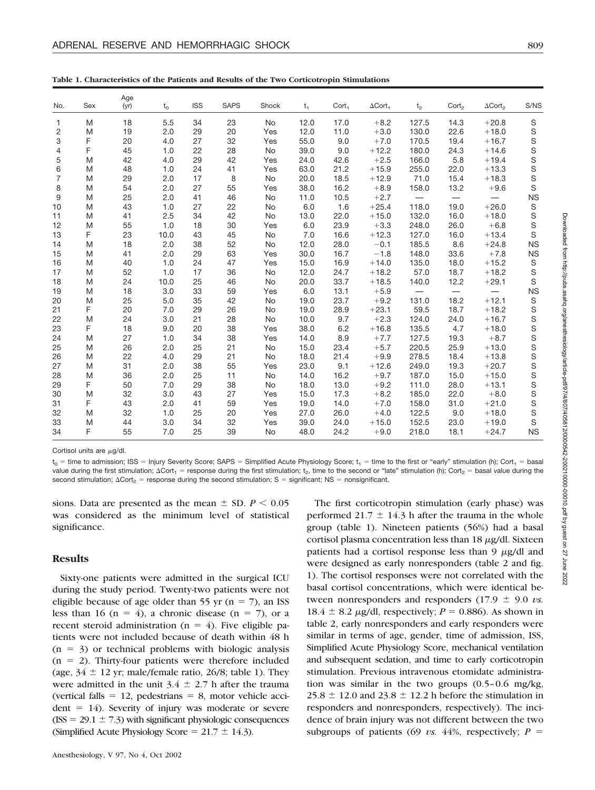| No.            | Sex | Age<br>(yr) | $t_{0}$ | <b>ISS</b> | <b>SAPS</b> | Shock     | $t_{1}$ | Cort <sub>1</sub> | $\Delta$ Cort <sub>1</sub> | t <sub>2</sub>           | $\text{Cort}_2$          | $\Delta$ Cort <sub>2</sub> | S/NS        |
|----------------|-----|-------------|---------|------------|-------------|-----------|---------|-------------------|----------------------------|--------------------------|--------------------------|----------------------------|-------------|
| $\mathbf{1}$   | M   | 18          | 5.5     | 34         | 23          | No        | 12.0    | 17.0              | $+8.2$                     | 127.5                    | 14.3                     | $+20.8$                    | $\mathbb S$ |
| $\overline{c}$ | M   | 19          | 2.0     | 29         | 20          | Yes       | 12.0    | 11.0              | $+3.0$                     | 130.0                    | 22.6                     | $+18.0$                    | S           |
| 3              | F   | 20          | 4.0     | 27         | 32          | Yes       | 55.0    | 9.0               | $+7.0$                     | 170.5                    | 19.4                     | $+16.7$                    | S           |
| 4              | F   | 45          | 1.0     | 22         | 28          | <b>No</b> | 39.0    | 9.0               | $+12.2$                    | 180.0                    | 24.3                     | $+14.6$                    | S           |
| 5              | M   | 42          | 4.0     | 29         | 42          | Yes       | 24.0    | 42.6              | $+2.5$                     | 166.0                    | 5.8                      | $+19.4$                    | S           |
| 6              | M   | 48          | 1.0     | 24         | 41          | Yes       | 63.0    | 21.2              | $+15.9$                    | 255.0                    | 22.0                     | $+13.3$                    | S           |
| $\overline{7}$ | M   | 29          | 2.0     | 17         | 8           | No        | 20.0    | 18.5              | $+12.9$                    | 71.0                     | 15.4                     | $+18.3$                    | S           |
| 8              | M   | 54          | 2.0     | 27         | 55          | Yes       | 38.0    | 16.2              | $+8.9$                     | 158.0                    | 13.2                     | $+9.6$                     | S           |
| 9              | M   | 25          | 2.0     | 41         | 46          | No        | 11.0    | 10.5              | $+2.7$                     |                          | $\overline{\phantom{0}}$ |                            | <b>NS</b>   |
| 10             | M   | 43          | 1.0     | 27         | 22          | No        | 6.0     | 1.6               | $+25.4$                    | 118.0                    | 19.0                     | $+26.0$                    | $\mathbf S$ |
| 11             | M   | 41          | 2.5     | 34         | 42          | <b>No</b> | 13.0    | 22.0              | $+15.0$                    | 132.0                    | 16.0                     | $+18.0$                    | S           |
| 12             | M   | 55          | 1.0     | 18         | 30          | Yes       | 6.0     | 23.9              | $+3.3$                     | 248.0                    | 26.0                     | $+6.8$                     | $\mathbf S$ |
| 13             | F   | 23          | 10.0    | 43         | 45          | No        | 7.0     | 16.6              | $+12.3$                    | 127.0                    | 16.0                     | $+13.4$                    | S           |
| 14             | M   | 18          | 2.0     | 38         | 52          | No        | 12.0    | 28.0              | $-0.1$                     | 185.5                    | 8.6                      | $+24.8$                    | <b>NS</b>   |
| 15             | M   | 41          | 2.0     | 29         | 63          | Yes       | 30.0    | 16.7              | $-1.8$                     | 148.0                    | 33.6                     | $+7.8$                     | <b>NS</b>   |
| 16             | M   | 40          | 1.0     | 24         | 47          | Yes       | 15.0    | 16.9              | $+14.0$                    | 135.0                    | 18.0                     | $+15.2$                    | $\mathbb S$ |
| 17             | M   | 52          | 1.0     | 17         | 36          | No        | 12.0    | 24.7              | $+18.2$                    | 57.0                     | 18.7                     | $+18.2$                    | S           |
| 18             | M   | 24          | 10.0    | 25         | 46          | <b>No</b> | 20.0    | 33.7              | $+18.5$                    | 140.0                    | 12.2                     | $+29.1$                    | S           |
| 19             | M   | 18          | 3.0     | 33         | 59          | Yes       | 6.0     | 13.1              | $+5.9$                     | $\overline{\phantom{0}}$ | $\overline{\phantom{0}}$ | $\overline{\phantom{0}}$   | <b>NS</b>   |
| 20             | M   | 25          | 5.0     | 35         | 42          | No        | 19.0    | 23.7              | $+9.2$                     | 131.0                    | 18.2                     | $+12.1$                    | $\mathbb S$ |
| 21             | F   | 20          | 7.0     | 29         | 26          | No        | 19.0    | 28.9              | $+23.1$                    | 59.5                     | 18.7                     | $+18.2$                    |             |
| 22             | M   | 24          | 3.0     | 21         | 28          | No        | 10.0    | 9.7               | $+2.3$                     | 124.0                    | 24.0                     | $+16.7$                    | S<br>S<br>S |
| 23             | F   | 18          | 9.0     | 20         | 38          | Yes       | 38.0    | 6.2               | $+16.8$                    | 135.5                    | 4.7                      | $+18.0$                    |             |
| 24             | M   | 27          | 1.0     | 34         | 38          | Yes       | 14.0    | 8.9               | $+7.7$                     | 127.5                    | 19.3                     | $+8.7$                     | S           |
| 25             | M   | 26          | 2.0     | 25         | 21          | <b>No</b> | 15.0    | 23.4              | $+5.7$                     | 220.5                    | 25.9                     | $+13.0$                    | S           |
| 26             | M   | 22          | 4.0     | 29         | 21          | <b>No</b> | 18.0    | 21.4              | $+9.9$                     | 278.5                    | 18.4                     | $+13.8$                    | S           |
| 27             | M   | 31          | 2.0     | 38         | 55          | Yes       | 23.0    | 9.1               | $+12.6$                    | 249.0                    | 19.3                     | $+20.7$                    | S           |
| 28             | M   | 36          | 2.0     | 25         | 11          | No        | 14.0    | 16.2              | $+9.7$                     | 187.0                    | 15.0                     | $+15.0$                    | S           |
| 29             | F   | 50          | 7.0     | 29         | 38          | No        | 18.0    | 13.0              | $+9.2$                     | 111.0                    | 28.0                     | $+13.1$                    | S           |
| 30             | M   | 32          | 3.0     | 43         | 27          | Yes       | 15.0    | 17.3              | $+8.2$                     | 185.0                    | 22.0                     | $+8.0$                     | S           |
| 31             | F   | 43          | 2.0     | 41         | 59          | Yes       | 19.0    | 14.0              | $+7.0$                     | 158.0                    | 31.0                     | $+21.0$                    | S           |
| 32             | M   | 32          | 1.0     | 25         | 20          | Yes       | 27.0    | 26.0              | $+4.0$                     | 122.5                    | 9.0                      | $+18.0$                    | S           |
| 33             | M   | 44          | 3.0     | 34         | 32          | Yes       | 39.0    | 24.0              | $+15.0$                    | 152.5                    | 23.0                     | $+19.0$                    | S           |
| 34             | F   | 55          | 7.0     | 25         | 39          | <b>No</b> | 48.0    | 24.2              | $+9.0$                     | 218.0                    | 18.1                     | $+24.7$                    | <b>NS</b>   |

**Table 1. Characteristics of the Patients and Results of the Two Corticotropin Stimulations**

Cortisol units are  $\mu$ g/dl.

 $t_0$  = time to admission; ISS = Injury Severity Score; SAPS = Simplified Acute Physiology Score;  $t_1$  = time to the first or "early" stimulation (h); Cort<sub>1</sub> = basal value during the first stimulation;  $\Delta \text{Cor}t_1$  = response during the first stimulation;  $t_2$ , time to the second or "late" stimulation (h); Cort<sub>2</sub> = basal value during the second stimulation;  $\Delta \text{Corr}_2$  = response during the second stimulation; S = significant; NS = nonsignificant.

sions. Data are presented as the mean  $\pm$  SD.  $P \le 0.05$ was considered as the minimum level of statistical significance.

#### **Results**

Sixty-one patients were admitted in the surgical ICU during the study period. Twenty-two patients were not eligible because of age older than 55 yr ( $n = 7$ ), an ISS less than 16 ( $n = 4$ ), a chronic disease ( $n = 7$ ), or a recent steroid administration ( $n = 4$ ). Five eligible patients were not included because of death within 48 h  $(n = 3)$  or technical problems with biologic analysis  $(n = 2)$ . Thirty-four patients were therefore included (age,  $34 \pm 12$  yr; male/female ratio, 26/8; table 1). They were admitted in the unit  $3.4 \pm 2.7$  h after the trauma (vertical falls  $= 12$ , pedestrians  $= 8$ , motor vehicle acci $dent = 14$ ). Severity of injury was moderate or severe  $(ISS = 29.1 \pm 7.3)$  with significant physiologic consequences (Simplified Acute Physiology Score =  $21.7 \pm 14.3$ ).

Anesthesiology, V 97, No 4, Oct 2002

The first corticotropin stimulation (early phase) was performed 21.7  $\pm$  14.3 h after the trauma in the whole group (table 1). Nineteen patients (56%) had a basal cortisol plasma concentration less than  $18 \mu g/dl$ . Sixteen patients had a cortisol response less than  $9 \mu g/dl$  and were designed as early nonresponders (table 2 and fig. 1). The cortisol responses were not correlated with the basal cortisol concentrations, which were identical between nonresponders and responders  $(17.9 \pm 9.0 \text{ vs.})$ 18.4  $\pm$  8.2  $\mu$ g/dl, respectively; *P* = 0.886). As shown in table 2, early nonresponders and early responders were similar in terms of age, gender, time of admission, ISS, Simplified Acute Physiology Score, mechanical ventilation and subsequent sedation, and time to early corticotropin stimulation. Previous intravenous etomidate administration was similar in the two groups (0.5–0.6 mg/kg,  $25.8 \pm 12.0$  and  $23.8 \pm 12.2$  h before the stimulation in responders and nonresponders, respectively). The incidence of brain injury was not different between the two subgroups of patients (69  $\upsilon$ s. 44%, respectively;  $P =$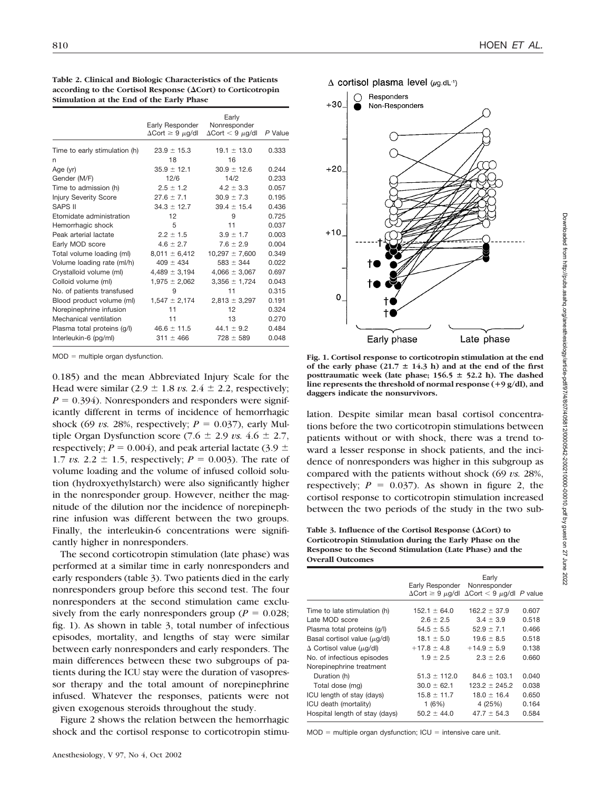| interestion we the mile of the mest, I have |                                                    |                                                  |         |
|---------------------------------------------|----------------------------------------------------|--------------------------------------------------|---------|
|                                             | Early Responder<br>$\Delta$ Cort $\geq 9 \mu$ g/dl | Early<br>Nonresponder<br>$\Delta$ Cort < 9 µg/dl | P Value |
| Time to early stimulation (h)               | $23.9 \pm 15.3$                                    | $19.1 \pm 13.0$                                  | 0.333   |
| n                                           | 18                                                 | 16                                               |         |
| Age (yr)                                    | $35.9 \pm 12.1$                                    | $30.9 \pm 12.6$                                  | 0.244   |
| Gender (M/F)                                | 12/6                                               | 14/2                                             | 0.233   |
| Time to admission (h)                       | $2.5 \pm 1.2$                                      | $4.2 \pm 3.3$                                    | 0.057   |
| <b>Injury Severity Score</b>                | $27.6 \pm 7.1$                                     | $30.9 \pm 7.3$                                   | 0.195   |
| SAPS II                                     | $34.3 \pm 12.7$                                    | $39.4 \pm 15.4$                                  | 0.436   |
| Etomidate administration                    | 12                                                 | 9                                                | 0.725   |
| Hemorrhagic shock                           | 5                                                  | 11                                               | 0.037   |
| Peak arterial lactate                       | $2.2 \pm 1.5$                                      | $3.9 \pm 1.7$                                    | 0.003   |
| Early MOD score                             | $4.6 \pm 2.7$                                      | $7.6 \pm 2.9$                                    | 0.004   |
| Total volume loading (ml)                   | $8,011 \pm 6,412$                                  | $10,297 \pm 7,600$                               | 0.349   |
| Volume loading rate (ml/h)                  | $409 \pm 434$                                      | $583 \pm 344$                                    | 0.022   |
| Crystalloid volume (ml)                     | $4,489 \pm 3,194$                                  | $4,066 \pm 3,067$                                | 0.697   |
| Colloid volume (ml)                         | $1,975 \pm 2,062$                                  | $3,356 \pm 1,724$                                | 0.043   |
| No. of patients transfused                  | 9                                                  | 11                                               | 0.315   |
| Blood product volume (ml)                   | $1,547 \pm 2,174$                                  | $2,813 \pm 3,297$                                | 0.191   |
| Norepinephrine infusion                     | 11                                                 | 12                                               | 0.324   |
| Mechanical ventilation                      | 11                                                 | 13                                               | 0.270   |
| Plasma total proteins (g/l)                 | $46.6 \pm 11.5$                                    | $44.1 \pm 9.2$                                   | 0.484   |
| Interleukin-6 (pg/ml)                       | $311 \pm 466$                                      | $728 \pm 589$                                    | 0.048   |

**Table 2. Clinical and Biologic Characteristics of the Patients** according to the Cortisol Response ( $\Delta$ Cort) to Corticotropin **Stimulation at the End of the Early Phase**

 $MOD =$  multiple organ dysfunction.

0.185) and the mean Abbreviated Injury Scale for the Head were similar  $(2.9 \pm 1.8 \text{ vs. } 2.4 \pm 2.2,$  respectively;  $P = 0.394$ ). Nonresponders and responders were significantly different in terms of incidence of hemorrhagic shock (69 *vs.* 28%, respectively;  $P = 0.037$ ), early Multiple Organ Dysfunction score  $(7.6 \pm 2.9 \text{ vs. } 4.6 \pm 2.7,$ respectively;  $P = 0.004$ ), and peak arterial lactate (3.9  $\pm$ 1.7 *vs.* 2.2  $\pm$  1.5, respectively; *P* = 0.003). The rate of volume loading and the volume of infused colloid solution (hydroxyethylstarch) were also significantly higher in the nonresponder group. However, neither the magnitude of the dilution nor the incidence of norepinephrine infusion was different between the two groups. Finally, the interleukin-6 concentrations were significantly higher in nonresponders.

The second corticotropin stimulation (late phase) was performed at a similar time in early nonresponders and early responders (table 3). Two patients died in the early nonresponders group before this second test. The four nonresponders at the second stimulation came exclusively from the early nonresponders group ( $P = 0.028$ ; fig. 1). As shown in table 3, total number of infectious episodes, mortality, and lengths of stay were similar between early nonresponders and early responders. The main differences between these two subgroups of patients during the ICU stay were the duration of vasopressor therapy and the total amount of norepinephrine infused. Whatever the responses, patients were not given exogenous steroids throughout the study.

Figure 2 shows the relation between the hemorrhagic shock and the cortisol response to corticotropin stimu $\Delta$  cortisol plasma level ( $\mu$ g.dL<sup>-1</sup>)



**Fig. 1. Cortisol response to corticotropin stimulation at the end** of the early phase  $(21.7 \pm 14.3 \text{ h})$  and at the end of the first posttraumatic week (late phase; 156.5  $\pm$  52.2 h). The dashed **line represents the threshold of normal response (9 g/dl), and daggers indicate the nonsurvivors.**

lation. Despite similar mean basal cortisol concentrations before the two corticotropin stimulations between patients without or with shock, there was a trend toward a lesser response in shock patients, and the incidence of nonresponders was higher in this subgroup as compared with the patients without shock (69 *vs.* 28%, respectively;  $P = 0.037$ ). As shown in figure 2, the cortisol response to corticotropin stimulation increased between the two periods of the study in the two sub-

Table 3. Influence of the Cortisol Response  $(\Delta \text{Cort})$  to **Corticotropin Stimulation during the Early Phase on the Response to the Second Stimulation (Late Phase) and the Overall Outcomes**

|                                       | Early Responder Nonresponder | Early<br>$\Delta$ Cort $\geq 9$ $\mu$ g/dl $\Delta$ Cort $\lt 9$ $\mu$ g/dl P value |       |
|---------------------------------------|------------------------------|-------------------------------------------------------------------------------------|-------|
| Time to late stimulation (h)          | $152.1 \pm 64.0$             | $162.2 \pm 37.9$                                                                    | 0.607 |
| Late MOD score                        | $2.6 \pm 2.5$                | $3.4 \pm 3.9$                                                                       | 0.518 |
| Plasma total proteins (q/l)           | $54.5 \pm 5.5$               | $52.9 \pm 7.1$                                                                      | 0.466 |
| Basal cortisol value $(\mu q/d)$      | $18.1 \pm 5.0$               | $19.6 \pm 8.5$                                                                      | 0.518 |
| $\Delta$ Cortisol value ( $\mu$ g/dl) | $+17.8 \pm 4.8$              | $+14.9 \pm 5.9$                                                                     | 0.138 |
| No. of infectious episodes            | $1.9 \pm 2.5$                | $2.3 \pm 2.6$                                                                       | 0.660 |
| Norepinephrine treatment              |                              |                                                                                     |       |
| Duration (h)                          | $51.3 \pm 112.0$             | $84.6 \pm 103.1$                                                                    | 0.040 |
| Total dose (mg)                       | $30.0 \pm 62.1$              | $123.2 \pm 245.2$                                                                   | 0.038 |
| ICU length of stay (days)             | $15.8 \pm 11.7$              | $18.0 \pm 16.4$                                                                     | 0.650 |
| ICU death (mortality)                 | 1(6%)                        | 4 (25%)                                                                             | 0.164 |
| Hospital length of stay (days)        | $50.2 \pm 44.0$              | $47.7 \pm 54.3$                                                                     | 0.584 |

 $MOD =$  multiple organ dysfunction;  $ICU =$  intensive care unit.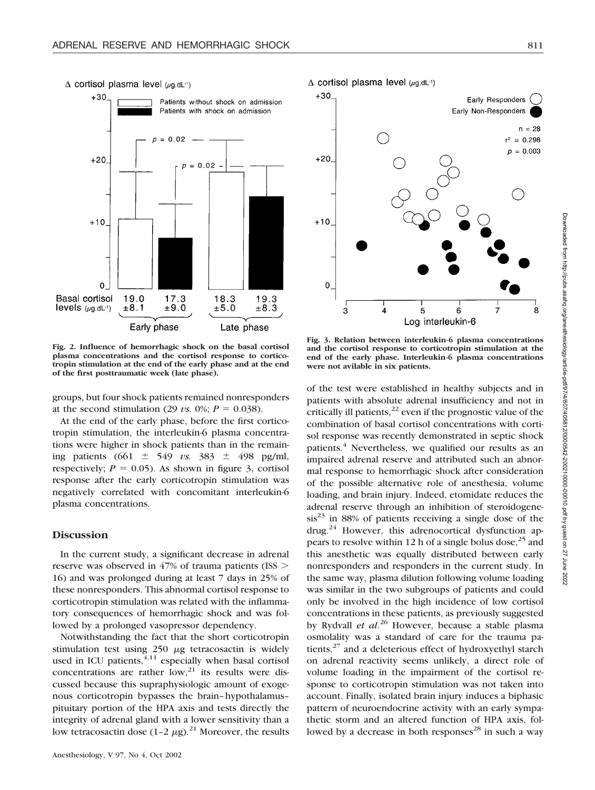

**Fig. 2. Influence of hemorrhagic shock on the basal cortisol plasma concentrations and the cortisol response to corticotropin stimulation at the end of the early phase and at the end of the first posttraumatic week (late phase).**

groups, but four shock patients remained nonresponders at the second stimulation (29 *vs.* 0%;  $P = 0.038$ ).

At the end of the early phase, before the first corticotropin stimulation, the interleukin-6 plasma concentrations were higher in shock patients than in the remaining patients (661  $\pm$  549 *vs.* 383  $\pm$  498 pg/ml, respectively;  $P = 0.05$ ). As shown in figure 3, cortisol response after the early corticotropin stimulation was negatively correlated with concomitant interleukin-6 plasma concentrations.

# **Discussion**

In the current study, a significant decrease in adrenal reserve was observed in 47% of trauma patients (ISS 16) and was prolonged during at least 7 days in 25% of these nonresponders. This abnormal cortisol response to corticotropin stimulation was related with the inflammatory consequences of hemorrhagic shock and was followed by a prolonged vasopressor dependency.

Notwithstanding the fact that the short corticotropin stimulation test using  $250 \mu g$  tetracosactin is widely used in ICU patients,  $4,11$  especially when basal cortisol concentrations are rather  $low<sub>1</sub><sup>21</sup>$  its results were discussed because this supraphysiologic amount of exogenous corticotropin bypasses the brain–hypothalamus– pituitary portion of the HPA axis and tests directly the integrity of adrenal gland with a lower sensitivity than a low tetracosactin dose  $(1-2 \mu g)^{21}$  Moreover, the results

# $\Delta$  cortisol plasma level ( $\mu$ g.dL<sup>-1</sup>)



**Fig. 3. Relation between interleukin-6 plasma concentrations and the cortisol response to corticotropin stimulation at the end of the early phase. Interleukin-6 plasma concentrations were not avilable in six patients.**

of the test were established in healthy subjects and in patients with absolute adrenal insufficiency and not in critically ill patients, $^{22}$  even if the prognostic value of the combination of basal cortisol concentrations with cortisol response was recently demonstrated in septic shock patients.<sup>4</sup> Nevertheless, we qualified our results as an impaired adrenal reserve and attributed such an abnormal response to hemorrhagic shock after consideration of the possible alternative role of anesthesia, volume loading, and brain injury. Indeed, etomidate reduces the adrenal reserve through an inhibition of steroidogene- $\sin^{23}$  in 88% of patients receiving a single dose of the drug.<sup>24</sup> However, this adrenocortical dysfunction appears to resolve within 12 h of a single bolus dose,  $2^5$  and this anesthetic was equally distributed between early nonresponders and responders in the current study. In the same way, plasma dilution following volume loading was similar in the two subgroups of patients and could only be involved in the high incidence of low cortisol concentrations in these patients, as previously suggested by Rydvall *et al*. <sup>26</sup> However, because a stable plasma osmolality was a standard of care for the trauma patients, $27$  and a deleterious effect of hydroxyethyl starch on adrenal reactivity seems unlikely, a direct role of volume loading in the impairment of the cortisol response to corticotropin stimulation was not taken into account. Finally, isolated brain injury induces a biphasic pattern of neuroendocrine activity with an early sympathetic storm and an altered function of HPA axis, followed by a decrease in both responses<sup>28</sup> in such a way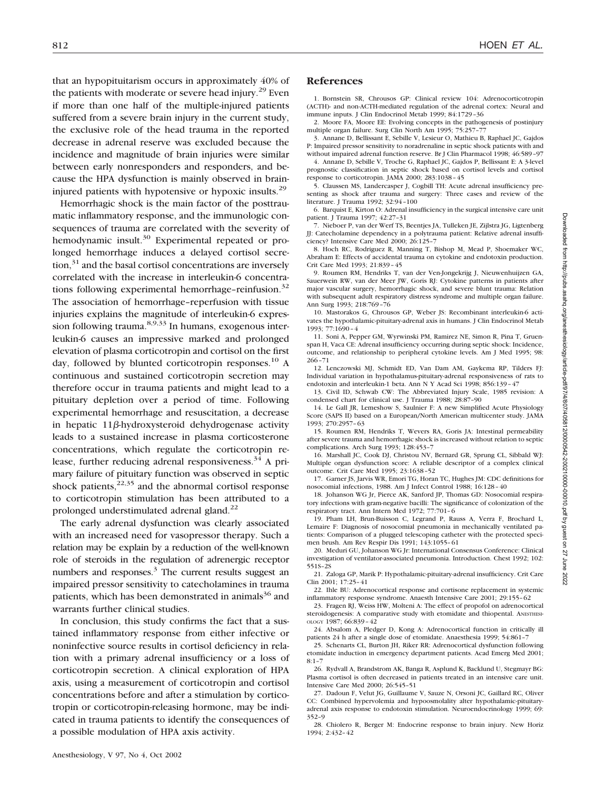that an hypopituitarism occurs in approximately 40% of the patients with moderate or severe head injury.<sup>29</sup> Even if more than one half of the multiple-injured patients suffered from a severe brain injury in the current study, the exclusive role of the head trauma in the reported decrease in adrenal reserve was excluded because the incidence and magnitude of brain injuries were similar between early nonresponders and responders, and because the HPA dysfunction is mainly observed in braininjured patients with hypotensive or hypoxic insults.29

Hemorrhagic shock is the main factor of the posttraumatic inflammatory response, and the immunologic consequences of trauma are correlated with the severity of hemodynamic insult.<sup>30</sup> Experimental repeated or prolonged hemorrhage induces a delayed cortisol secre- $\text{tion}$ <sup>31</sup> and the basal cortisol concentrations are inversely correlated with the increase in interleukin-6 concentrations following experimental hemorrhage-reinfusion.<sup>32</sup> The association of hemorrhage–reperfusion with tissue injuries explains the magnitude of interleukin-6 expression following trauma.<sup>8,9,33</sup> In humans, exogenous interleukin-6 causes an impressive marked and prolonged elevation of plasma corticotropin and cortisol on the first day, followed by blunted corticotropin responses.<sup>10</sup> A continuous and sustained corticotropin secretion may therefore occur in trauma patients and might lead to a pituitary depletion over a period of time. Following experimental hemorrhage and resuscitation, a decrease in hepatic  $11\beta$ -hydroxysteroid dehydrogenase activity leads to a sustained increase in plasma corticosterone concentrations, which regulate the corticotropin release, further reducing adrenal responsiveness. $34$  A primary failure of pituitary function was observed in septic shock patients, $2^{2,35}$  and the abnormal cortisol response to corticotropin stimulation has been attributed to a prolonged understimulated adrenal gland. $^{22}$ 

The early adrenal dysfunction was clearly associated with an increased need for vasopressor therapy. Such a relation may be explain by a reduction of the well-known role of steroids in the regulation of adrenergic receptor numbers and responses. $3$  The current results suggest an impaired pressor sensitivity to catecholamines in trauma patients, which has been demonstrated in animals $36$  and warrants further clinical studies.

In conclusion, this study confirms the fact that a sustained inflammatory response from either infective or noninfective source results in cortisol deficiency in relation with a primary adrenal insufficiency or a loss of corticotropin secretion. A clinical exploration of HPA axis, using a measurement of corticotropin and cortisol concentrations before and after a stimulation by corticotropin or corticotropin-releasing hormone, may be indicated in trauma patients to identify the consequences of a possible modulation of HPA axis activity.

# **References**

1. Bornstein SR, Chrousos GP: Clinical review 104: Adrenocorticotropin (ACTH)- and non-ACTH-mediated regulation of the adrenal cortex: Neural and immune inputs. J Clin Endocrinol Metab 1999; 84:1729–36

2. Moore FA, Moore EE: Evolving concepts in the pathogenesis of postinjury multiple organ failure. Surg Clin North Am 1995; 75:257–77

3. Annane D, Bellissant E, Sebille V, Lesieur O, Mathieu B, Raphael JC, Gajdos P: Impaired pressor sensitivity to noradrenaline in septic shock patients with and without impaired adrenal function reserve. Br J Clin Pharmacol 1998; 46:589–97

4. Annane D, Sebille V, Troche G, Raphael JC, Gajdos P, Bellissant E: A 3-level prognostic classification in septic shock based on cortisol levels and cortisol response to corticotropin. JAMA 2000; 283:1038–45

5. Claussen MS, Landercasper J, Cogbill TH: Acute adrenal insufficiency presenting as shock after trauma and surgery: Three cases and review of the literature. J Trauma 1992; 32:94–100

6. Barquist E, Kirton O: Adrenal insufficiency in the surgical intensive care unit patient. J Trauma 1997; 42:27–31

7. Nieboer P, van der Werf TS, Beentjes JA, Tulleken JE, Zijlstra JG, Ligtenberg JJ: Catecholamine dependency in a polytrauma patient: Relative adrenal insufficiency? Intensive Care Med 2000; 26:125–7

8. Hoch RC, Rodriguez R, Manning T, Bishop M, Mead P, Shoemaker WC, Abraham E: Effects of accidental trauma on cytokine and endotoxin production. Crit Care Med 1993; 21:839–45

9. Roumen RM, Hendriks T, van der Ven-Jongekrijg J, Nieuwenhuijzen GA, Sauerwein RW, van der Meer JW, Goris RJ: Cytokine patterns in patients after major vascular surgery, hemorrhagic shock, and severe blunt trauma: Relation with subsequent adult respiratory distress syndrome and multiple organ failure. Ann Surg 1993; 218:769–76

10. Mastorakos G, Chrousos GP, Weber JS: Recombinant interleukin-6 activates the hypothalamic-pituitary-adrenal axis in humans. J Clin Endocrinol Metab 1993; 77:1690–4

11. Soni A, Pepper GM, Wyrwinski PM, Ramirez NE, Simon R, Pina T, Gruenspan H, Vaca CE: Adrenal insufficiency occurring during septic shock: Incidence, outcome, and relationship to peripheral cytokine levels. Am J Med 1995; 98: 266–71

12. Lenczowski MJ, Schmidt ED, Van Dam AM, Gaykema RP, Tilders FJ: Individual variation in hypothalamus-pituitary-adrenal responsiveness of rats to endotoxin and interleukin-1 beta. Ann N Y Acad Sci 1998; 856:139–47

13. Civil ID, Schwab CW: The Abbreviated Injury Scale, 1985 revision: A condensed chart for clinical use. J Trauma 1988; 28:87–90

14. Le Gall JR, Lemeshow S, Saulnier F: A new Simplified Acute Physiology Score (SAPS II) based on a European/North American multicenter study. JAMA 1993; 270:2957–63

15. Roumen RM, Hendriks T, Wevers RA, Goris JA: Intestinal permeability after severe trauma and hemorrhagic shock is increased without relation to septic complications. Arch Surg 1993; 128:453–7

16. Marshall JC, Cook DJ, Christou NV, Bernard GR, Sprung CL, Sibbald WJ: Multiple organ dysfunction score: A reliable descriptor of a complex clinical outcome. Crit Care Med 1995; 23:1638–52

17. Garner JS, Jarvis WR, Emori TG, Horan TC, Hughes JM: CDC definitions for nosocomial infections, 1988. Am J Infect Control 1988; 16:128–40

18. Johanson WG Jr, Pierce AK, Sanford JP, Thomas GD: Nosocomial respiratory infections with gram-negative bacilli: The significance of colonization of the respiratory tract. Ann Intern Med 1972; 77:701–6

19. Pham LH, Brun-Buisson C, Legrand P, Rauss A, Verra F, Brochard L, Lemaire F: Diagnosis of nosocomial pneumonia in mechanically ventilated patients: Comparison of a plugged telescoping catheter with the protected specimen brush. Am Rev Respir Dis 1991; 143:1055–61

20. Meduri GU, Johanson WG Jr: International Consensus Conference: Clinical investigation of ventilator-associated pneumonia. Introduction. Chest 1992; 102: 551S–2S

21. Zaloga GP, Marik P: Hypothalamic-pituitary-adrenal insufficiency. Crit Care Clin 2001; 17:25–41

22. Ihle BU: Adrenocortical response and cortisone replacement in systemic inflammatory response syndrome. Anaesth Intensive Care 2001; 29:155–62

23. Fragen RJ, Weiss HW, Molteni A: The effect of propofol on adrenocortical steroidogenesis: A comparative study with etomidate and thiopental. ANESTHESI-OLOGY 1987; 66:839–42

24. Absalom A, Pledger D, Kong A: Adrenocortical function in critically ill patients 24 h after a single dose of etomidate. Anaesthesia 1999; 54:861–7

25. Schenarts CL, Burton JH, Riker RR: Adrenocortical dysfunction following etomidate induction in emergency department patients. Acad Emerg Med 2001; 8:1–7

26. Rydvall A, Brandstrom AK, Banga R, Asplund K, Backlund U, Stegmayr BG: Plasma cortisol is often decreased in patients treated in an intensive care unit. Intensive Care Med 2000; 26:545–51

27. Dadoun F, Velut JG, Guillaume V, Sauze N, Orsoni JC, Gaillard RC, Oliver CC: Combined hypervolemia and hypoosmolality alter hypothalamic-pituitaryadrenal axis response to endotoxin stimulation. Neuroendocrinology 1999; 69: 352–9

28. Chiolero R, Berger M: Endocrine response to brain injury. New Horiz 1994; 2:432–42